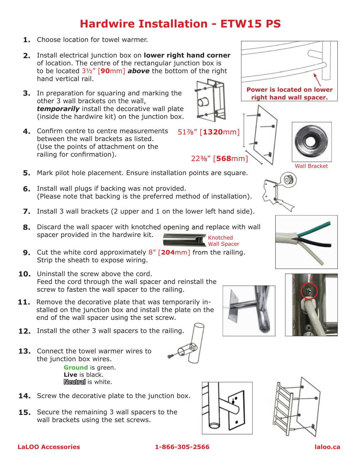## **Hardwire Installation - ETW15 PS**

- **1.** Choose location for towel warmer.
- Install electrical junction box on **lower right hand corner 2.** of location. The centre of the rectangular junction box is to be located 3½" [**90**mm] *above* the bottom of the right hand vertical rail.
- **3.** In preparation for squaring and marking the other 3 wall brackets on the wall, *temporarily* install the decorative wall plate (inside the hardwire kit) on the junction box.
- Confirm centre to centre measurements **4.** between the wall brackets as listed. (Use the points of attachment on the railing for confirmation).
- **5.** Mark pilot hole placement. Ensure installation points are square.
- **6.** Install wall plugs if backing was not provided. (Please note that backing is the preferred method of installation).
- **7.** Install 3 wall brackets (2 upper and 1 on the lower left hand side).
- **8.** Discard the wall spacer with knotched opening and replace with wall spacer provided in the hardwire kit. Knotched
- **9.** Cut the white cord approximately 8" [**204**mm] from the railing. Strip the sheath to expose wiring.
- **10.** Uninstall the screw above the cord. Feed the cord through the wall spacer and reinstall the screw to fasten the wall spacer to the railing.
- **11.** Remove the decorative plate that was temporarily installed on the junction box and install the plate on the end of the wall spacer using the set screw.
- **12.** Install the other 3 wall spacers to the railing.
- **13.** Connect the towel warmer wires to the junction box wires. **Ground** is green. **Live** is black. Neutral is white.
- **14.** Screw the decorative plate to the junction box.
- **15.** Secure the remaining 3 wall spacers to the wall brackets using the set screws.











Wall Spacer